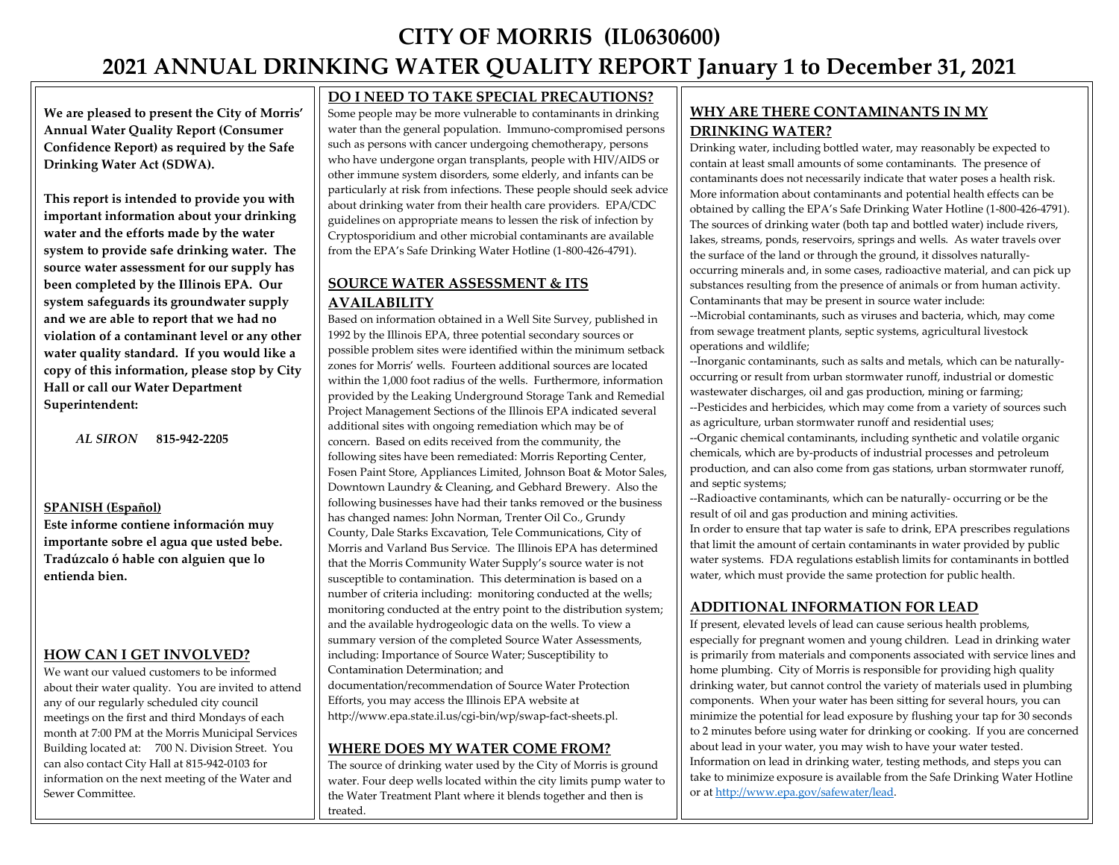# **CITY OF MORRIS (IL0630600) 2021 ANNUAL DRINKING WATER QUALITY REPORT January 1 to December 31, 2021**

**We are pleased to present the City of Morris' Annual Water Quality Report (Consumer Confidence Report) as required by the Safe Drinking Water Act (SDWA).** 

**This report is intended to provide you with important information about your drinking water and the efforts made by the water system to provide safe drinking water. The source water assessment for our supply has been completed by the Illinois EPA. Our system safeguards its groundwater supply and we are able to report that we had no violation of a contaminant level or any other water quality standard. If you would like a copy of this information, please stop by City Hall or call our Water Department Superintendent:** 

 *AL SIRON* **815-942-2205**

#### **SPANISH (Español)**

**Este informe contiene información muy importante sobre el agua que usted bebe. Tradúzcalo ó hable con alguien que lo entienda bien.**

## **HOW CAN I GET INVOLVED?**

We want our valued customers to be informed about their water quality. You are invited to attend any of our regularly scheduled city council meetings on the first and third Mondays of each month at 7:00 PM at the Morris Municipal Services Building located at: 700 N. Division Street. You can also contact City Hall at 815-942-0103 for information on the next meeting of the Water and Sewer Committee.

## **DO I NEED TO TAKE SPECIAL PRECAUTIONS?**

Some people may be more vulnerable to contaminants in drinking water than the general population. Immuno-compromised persons such as persons with cancer undergoing chemotherapy, persons who have undergone organ transplants, people with HIV/AIDS or other immune system disorders, some elderly, and infants can be particularly at risk from infections. These people should seek advice about drinking water from their health care providers. EPA/CDC guidelines on appropriate means to lessen the risk of infection by Cryptosporidium and other microbial contaminants are available from the EPA's Safe Drinking Water Hotline (1-800-426-4791).

# **SOURCE WATER ASSESSMENT & ITS AVAILABILITY**

Based on information obtained in a Well Site Survey, published in 1992 by the Illinois EPA, three potential secondary sources or possible problem sites were identified within the minimum setback zones for Morris' wells. Fourteen additional sources are located within the 1,000 foot radius of the wells. Furthermore, information provided by the Leaking Underground Storage Tank and Remedial Project Management Sections of the Illinois EPA indicated several additional sites with ongoing remediation which may be of concern. Based on edits received from the community, the following sites have been remediated: Morris Reporting Center, Fosen Paint Store, Appliances Limited, Johnson Boat & Motor Sales, Downtown Laundry & Cleaning, and Gebhard Brewery. Also the following businesses have had their tanks removed or the business has changed names: John Norman, Trenter Oil Co., Grundy County, Dale Starks Excavation, Tele Communications, City of Morris and Varland Bus Service. The Illinois EPA has determined that the Morris Community Water Supply's source water is not susceptible to contamination. This determination is based on a number of criteria including: monitoring conducted at the wells; monitoring conducted at the entry point to the distribution system; and the available hydrogeologic data on the wells. To view a summary version of the completed Source Water Assessments, including: Importance of Source Water; Susceptibility to Contamination Determination; and documentation/recommendation of Source Water Protection

Efforts, you may access the Illinois EPA website at http://www.epa.state.il.us/cgi-bin/wp/swap-fact-sheets.pl.

## **WHERE DOES MY WATER COME FROM?**

The source of drinking water used by the City of Morris is ground water. Four deep wells located within the city limits pump water to the Water Treatment Plant where it blends together and then is treated.

# **WHY ARE THERE CONTAMINANTS IN MY DRINKING WATER?**

Drinking water, including bottled water, may reasonably be expected to contain at least small amounts of some contaminants. The presence of contaminants does not necessarily indicate that water poses a health risk. More information about contaminants and potential health effects can be obtained by calling the EPA's Safe Drinking Water Hotline (1-800-426-4791). The sources of drinking water (both tap and bottled water) include rivers, lakes, streams, ponds, reservoirs, springs and wells. As water travels over the surface of the land or through the ground, it dissolves naturallyoccurring minerals and, in some cases, radioactive material, and can pick up substances resulting from the presence of animals or from human activity. Contaminants that may be present in source water include:

--Microbial contaminants, such as viruses and bacteria, which, may come from sewage treatment plants, septic systems, agricultural livestock operations and wildlife;

--Inorganic contaminants, such as salts and metals, which can be naturallyoccurring or result from urban stormwater runoff, industrial or domestic wastewater discharges, oil and gas production, mining or farming; --Pesticides and herbicides, which may come from a variety of sources such

as agriculture, urban stormwater runoff and residential uses; --Organic chemical contaminants, including synthetic and volatile organic chemicals, which are by-products of industrial processes and petroleum production, and can also come from gas stations, urban stormwater runoff, and septic systems;

--Radioactive contaminants, which can be naturally- occurring or be the result of oil and gas production and mining activities.

In order to ensure that tap water is safe to drink, EPA prescribes regulations that limit the amount of certain contaminants in water provided by public water systems. FDA regulations establish limits for contaminants in bottled water, which must provide the same protection for public health.

## **ADDITIONAL INFORMATION FOR LEAD**

If present, elevated levels of lead can cause serious health problems, especially for pregnant women and young children. Lead in drinking water is primarily from materials and components associated with service lines and home plumbing. City of Morris is responsible for providing high quality drinking water, but cannot control the variety of materials used in plumbing components. When your water has been sitting for several hours, you can minimize the potential for lead exposure by flushing your tap for 30 seconds to 2 minutes before using water for drinking or cooking. If you are concerned about lead in your water, you may wish to have your water tested. Information on lead in drinking water, testing methods, and steps you can take to minimize exposure is available from the Safe Drinking Water Hotline or a[t http://www.epa.gov/safewater/lead.](http://www.epa.gov/safewater/lead)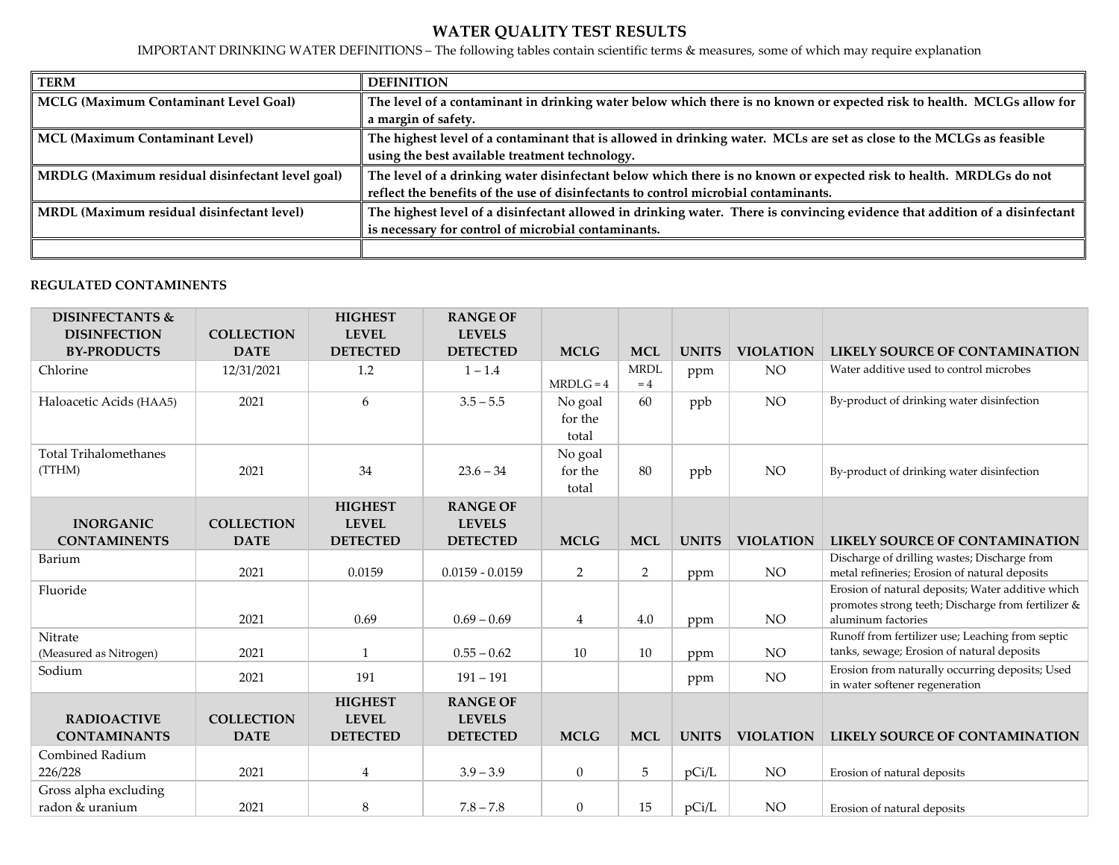# **WATER QUALITY TEST RESULTS**

IMPORTANT DRINKING WATER DEFINITIONS – The following tables contain scientific terms & measures, some of which may require explanation

| <b>TERM</b>                                      | <b>DEFINITION</b>                                                                                                           |
|--------------------------------------------------|-----------------------------------------------------------------------------------------------------------------------------|
| <b>MCLG (Maximum Contaminant Level Goal)</b>     | The level of a contaminant in drinking water below which there is no known or expected risk to health. MCLGs allow for      |
|                                                  | a margin of safety.                                                                                                         |
| <b>MCL (Maximum Contaminant Level)</b>           | The highest level of a contaminant that is allowed in drinking water. MCLs are set as close to the MCLGs as feasible        |
|                                                  | using the best available treatment technology.                                                                              |
| MRDLG (Maximum residual disinfectant level goal) | The level of a drinking water disinfectant below which there is no known or expected risk to health. MRDLGs do not          |
|                                                  | reflect the benefits of the use of disinfectants to control microbial contaminants.                                         |
| MRDL (Maximum residual disinfectant level)       | The highest level of a disinfectant allowed in drinking water. There is convincing evidence that addition of a disinfectant |
|                                                  | is necessary for control of microbial contaminants.                                                                         |
|                                                  |                                                                                                                             |

## **REGULATED CONTAMINENTS**

| <b>DISINFECTANTS &amp;</b>                |                                  | <b>HIGHEST</b>                                    | <b>RANGE OF</b>                                     |                             |                     |              |                  |                                                                                                                               |
|-------------------------------------------|----------------------------------|---------------------------------------------------|-----------------------------------------------------|-----------------------------|---------------------|--------------|------------------|-------------------------------------------------------------------------------------------------------------------------------|
| <b>DISINFECTION</b><br><b>BY-PRODUCTS</b> | <b>COLLECTION</b><br><b>DATE</b> | <b>LEVEL</b><br><b>DETECTED</b>                   | <b>LEVELS</b><br><b>DETECTED</b>                    | <b>MCLG</b>                 | <b>MCL</b>          | <b>UNITS</b> | <b>VIOLATION</b> | <b>LIKELY SOURCE OF CONTAMINATION</b>                                                                                         |
| Chlorine                                  | 12/31/2021                       | 1.2                                               | $1 - 1.4$                                           | $MRDLG = 4$                 | <b>MRDL</b><br>$=4$ | ppm          | NO <sub>1</sub>  | Water additive used to control microbes                                                                                       |
| Haloacetic Acids (HAA5)                   | 2021                             | 6                                                 | $3.5 - 5.5$                                         | No goal<br>for the<br>total | 60                  | ppb          | <b>NO</b>        | By-product of drinking water disinfection                                                                                     |
| <b>Total Trihalomethanes</b><br>(TTHM)    | 2021                             | 34                                                | $23.6 - 34$                                         | No goal<br>for the<br>total | 80                  | ppb          | NO <sub>1</sub>  | By-product of drinking water disinfection                                                                                     |
| <b>INORGANIC</b><br><b>CONTAMINENTS</b>   | <b>COLLECTION</b><br><b>DATE</b> | <b>HIGHEST</b><br><b>LEVEL</b><br><b>DETECTED</b> | <b>RANGE OF</b><br><b>LEVELS</b><br><b>DETECTED</b> | <b>MCLG</b>                 | <b>MCL</b>          | <b>UNITS</b> | <b>VIOLATION</b> | LIKELY SOURCE OF CONTAMINATION                                                                                                |
| Barium                                    | 2021                             | 0.0159                                            | $0.0159 - 0.0159$                                   | $\overline{2}$              | 2                   | ppm          | $\rm NO$         | Discharge of drilling wastes; Discharge from<br>metal refineries; Erosion of natural deposits                                 |
| Fluoride                                  | 2021                             | 0.69                                              | $0.69 - 0.69$                                       | $\overline{4}$              | 4.0                 | ppm          | NO               | Erosion of natural deposits; Water additive which<br>promotes strong teeth; Discharge from fertilizer &<br>aluminum factories |
| Nitrate<br>(Measured as Nitrogen)         | 2021                             | $\mathbf{1}$                                      | $0.55 - 0.62$                                       | 10                          | 10                  | ppm          | NO               | Runoff from fertilizer use; Leaching from septic<br>tanks, sewage; Erosion of natural deposits                                |
| Sodium                                    | 2021                             | 191                                               | $191 - 191$                                         |                             |                     | ppm          | NO.              | Erosion from naturally occurring deposits; Used<br>in water softener regeneration                                             |
| <b>RADIOACTIVE</b><br><b>CONTAMINANTS</b> | <b>COLLECTION</b><br><b>DATE</b> | <b>HIGHEST</b><br><b>LEVEL</b><br><b>DETECTED</b> | <b>RANGE OF</b><br><b>LEVELS</b><br><b>DETECTED</b> | <b>MCLG</b>                 | <b>MCL</b>          | <b>UNITS</b> | <b>VIOLATION</b> | LIKELY SOURCE OF CONTAMINATION                                                                                                |
| Combined Radium<br>226/228                | 2021                             | $\overline{4}$                                    | $3.9 - 3.9$                                         | $\overline{0}$              | 5                   | pCi/L        | NO               | Erosion of natural deposits                                                                                                   |
| Gross alpha excluding<br>radon & uranium  | 2021                             | 8                                                 | $7.8 - 7.8$                                         | $\overline{0}$              | 15                  | pCi/L        | NO               | Erosion of natural deposits                                                                                                   |